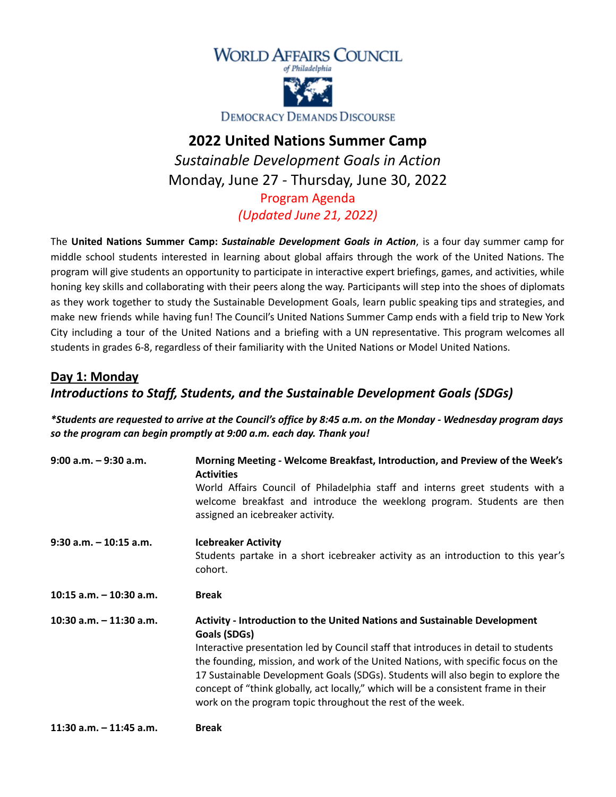



**DEMOCRACY DEMANDS DISCOURSE** 

## **2022 United Nations Summer Camp** *Sustainable Development Goals in Action* Monday, June 27 - Thursday, June 30, 2022 Program Agenda

*(Updated June 21, 2022)*

The **United Nations Summer Camp:** *Sustainable Development Goals in Action*, is a four day summer camp for middle school students interested in learning about global affairs through the work of the United Nations. The program will give students an opportunity to participate in interactive expert briefings, games, and activities, while honing key skills and collaborating with their peers along the way. Participants will step into the shoes of diplomats as they work together to study the Sustainable Development Goals, learn public speaking tips and strategies, and make new friends while having fun! The Council's United Nations Summer Camp ends with a field trip to New York City including a tour of the United Nations and a briefing with a UN representative. This program welcomes all students in grades 6-8, regardless of their familiarity with the United Nations or Model United Nations.

## **Day 1: Monday** *Introductions to Staff, Students, and the Sustainable Development Goals (SDGs)*

\*Students are requested to arrive at the Council's office by 8:45 a.m. on the Monday - Wednesday program days *so the program can begin promptly at 9:00 a.m. each day. Thank you!*

| $9:00$ a.m. $-9:30$ a.m.   | Morning Meeting - Welcome Breakfast, Introduction, and Preview of the Week's<br><b>Activities</b>                                                                                            |  |  |
|----------------------------|----------------------------------------------------------------------------------------------------------------------------------------------------------------------------------------------|--|--|
|                            | World Affairs Council of Philadelphia staff and interns greet students with a<br>welcome breakfast and introduce the weeklong program. Students are then<br>assigned an icebreaker activity. |  |  |
| $9:30$ a.m. $-10:15$ a.m.  | <b>Icebreaker Activity</b>                                                                                                                                                                   |  |  |
|                            | Students partake in a short icebreaker activity as an introduction to this year's<br>cohort.                                                                                                 |  |  |
| $10:15$ a.m. $-10:30$ a.m. | <b>Break</b>                                                                                                                                                                                 |  |  |
| 10:30 a.m. - 11:30 a.m.    | <b>Activity - Introduction to the United Nations and Sustainable Development</b><br>Goals (SDGs)                                                                                             |  |  |
|                            | Interactive presentation led by Council staff that introduces in detail to students                                                                                                          |  |  |
|                            | the founding, mission, and work of the United Nations, with specific focus on the<br>17 Sustainable Development Goals (SDGs). Students will also begin to explore the                        |  |  |
|                            | concept of "think globally, act locally," which will be a consistent frame in their<br>work on the program topic throughout the rest of the week.                                            |  |  |
|                            |                                                                                                                                                                                              |  |  |

**11:30 a.m. – 11:45 a.m. Break**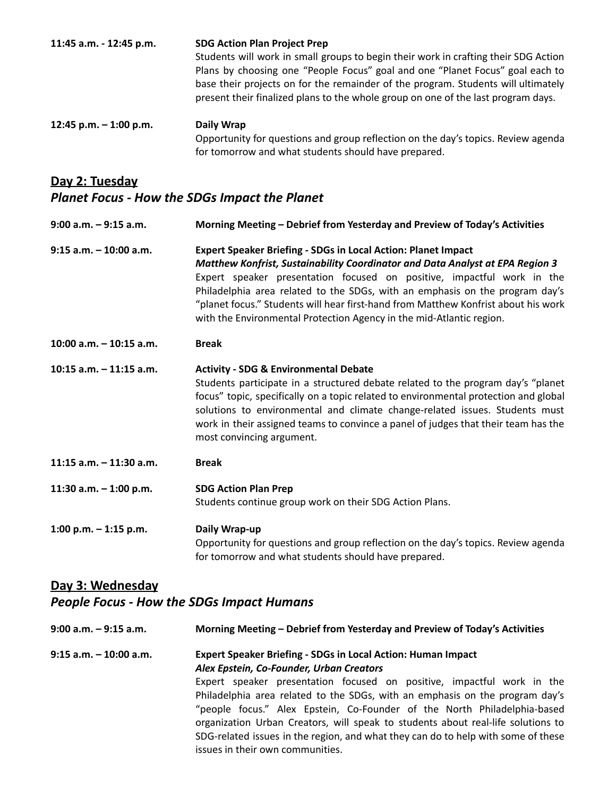| 11:45 a.m. - 12:45 p.m.                              | <b>SDG Action Plan Project Prep</b><br>Students will work in small groups to begin their work in crafting their SDG Action<br>Plans by choosing one "People Focus" goal and one "Planet Focus" goal each to<br>base their projects on for the remainder of the program. Students will ultimately<br>present their finalized plans to the whole group on one of the last program days.                                                                                  |
|------------------------------------------------------|------------------------------------------------------------------------------------------------------------------------------------------------------------------------------------------------------------------------------------------------------------------------------------------------------------------------------------------------------------------------------------------------------------------------------------------------------------------------|
| 12:45 p.m. - 1:00 p.m.                               | <b>Daily Wrap</b><br>Opportunity for questions and group reflection on the day's topics. Review agenda<br>for tomorrow and what students should have prepared.                                                                                                                                                                                                                                                                                                         |
| <u>Day 2: Tuesday</u>                                |                                                                                                                                                                                                                                                                                                                                                                                                                                                                        |
| <b>Planet Focus - How the SDGs Impact the Planet</b> |                                                                                                                                                                                                                                                                                                                                                                                                                                                                        |
| $9:00$ a.m. $-9:15$ a.m.                             | Morning Meeting - Debrief from Yesterday and Preview of Today's Activities                                                                                                                                                                                                                                                                                                                                                                                             |
| $9:15$ a.m. $-10:00$ a.m.                            | Expert Speaker Briefing - SDGs in Local Action: Planet Impact<br>Matthew Konfrist, Sustainability Coordinator and Data Analyst at EPA Region 3<br>Expert speaker presentation focused on positive, impactful work in the<br>Philadelphia area related to the SDGs, with an emphasis on the program day's<br>"planet focus." Students will hear first-hand from Matthew Konfrist about his work<br>with the Environmental Protection Agency in the mid-Atlantic region. |
| 10:00 a.m. - 10:15 a.m.                              | <b>Break</b>                                                                                                                                                                                                                                                                                                                                                                                                                                                           |
| 10:15 a.m. $-$ 11:15 a.m.                            | <b>Activity - SDG &amp; Environmental Debate</b><br>Students participate in a structured debate related to the program day's "planet<br>focus" topic, specifically on a topic related to environmental protection and global<br>solutions to environmental and climate change-related issues. Students must<br>work in their assigned teams to convince a panel of judges that their team has the<br>most convincing argument.                                         |
| 11:15 $a.m. - 11:30 a.m.$                            | <b>Break</b>                                                                                                                                                                                                                                                                                                                                                                                                                                                           |
| 11:30 a.m. - 1:00 p.m.                               | <b>SDG Action Plan Prep</b><br>Students continue group work on their SDG Action Plans.                                                                                                                                                                                                                                                                                                                                                                                 |
| 1:00 p.m. $-$ 1:15 p.m.                              | Daily Wrap-up<br>Opportunity for questions and group reflection on the day's topics. Review agenda<br>for tomorrow and what students should have prepared.                                                                                                                                                                                                                                                                                                             |

#### **Day 3: Wednesday**

### *People Focus - How the SDGs Impact Humans*

| $9:00$ a.m. $-9:15$ a.m.  | Morning Meeting – Debrief from Yesterday and Preview of Today's Activities                                                                                                                                                                                                                                                                                                                                                                      |
|---------------------------|-------------------------------------------------------------------------------------------------------------------------------------------------------------------------------------------------------------------------------------------------------------------------------------------------------------------------------------------------------------------------------------------------------------------------------------------------|
| $9:15$ a.m. $-10:00$ a.m. | <b>Expert Speaker Briefing - SDGs in Local Action: Human Impact</b><br>Alex Epstein, Co-Founder, Urban Creators                                                                                                                                                                                                                                                                                                                                 |
|                           | Expert speaker presentation focused on positive, impactful work in the<br>Philadelphia area related to the SDGs, with an emphasis on the program day's<br>"people focus." Alex Epstein, Co-Founder of the North Philadelphia-based<br>organization Urban Creators, will speak to students about real-life solutions to<br>SDG-related issues in the region, and what they can do to help with some of these<br>issues in their own communities. |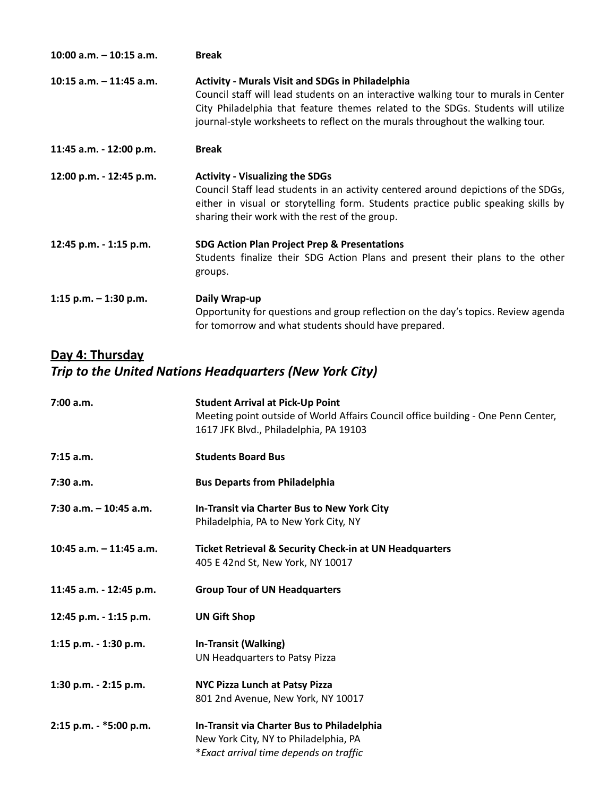| $10:00$ a.m. $-10:15$ a.m. | <b>Break</b>                                                                                                                                                                                                                                                                                                         |
|----------------------------|----------------------------------------------------------------------------------------------------------------------------------------------------------------------------------------------------------------------------------------------------------------------------------------------------------------------|
| 10:15 a.m. - 11:45 a.m.    | <b>Activity - Murals Visit and SDGs in Philadelphia</b><br>Council staff will lead students on an interactive walking tour to murals in Center<br>City Philadelphia that feature themes related to the SDGs. Students will utilize<br>journal-style worksheets to reflect on the murals throughout the walking tour. |
| 11:45 a.m. - 12:00 p.m.    | <b>Break</b>                                                                                                                                                                                                                                                                                                         |
| 12:00 p.m. - 12:45 p.m.    | <b>Activity - Visualizing the SDGs</b><br>Council Staff lead students in an activity centered around depictions of the SDGs,<br>either in visual or storytelling form. Students practice public speaking skills by<br>sharing their work with the rest of the group.                                                 |
| 12:45 p.m. - 1:15 p.m.     | <b>SDG Action Plan Project Prep &amp; Presentations</b><br>Students finalize their SDG Action Plans and present their plans to the other<br>groups.                                                                                                                                                                  |
| 1:15 p.m. $-$ 1:30 p.m.    | Daily Wrap-up<br>Opportunity for questions and group reflection on the day's topics. Review agenda<br>for tomorrow and what students should have prepared.                                                                                                                                                           |

# **Day 4: Thursday**

# *Trip to the United Nations Headquarters (New York City)*